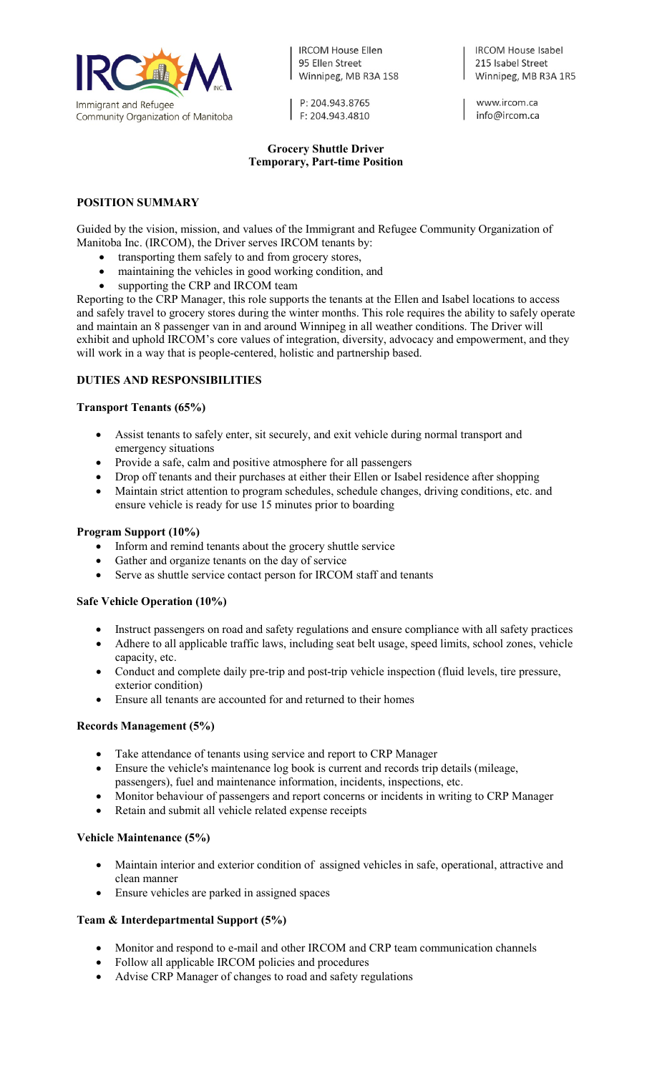

**IRCOM House Ellen** 95 Ellen Street Winnipeg, MB R3A 1S8

P: 204.943.8765 F: 204.943.4810

## **Grocery Shuttle Driver Temporary, Part-time Position**

**IRCOM House Isabel** 215 Isabel Street Winnipeg, MB R3A 1R5

www.ircom.ca info@ircom.ca

### **POSITION SUMMARY**

Guided by the vision, mission, and values of the Immigrant and Refugee Community Organization of Manitoba Inc. (IRCOM), the Driver serves IRCOM tenants by:

- transporting them safely to and from grocery stores,
- maintaining the vehicles in good working condition, and
- supporting the CRP and IRCOM team

Reporting to the CRP Manager, this role supports the tenants at the Ellen and Isabel locations to access and safely travel to grocery stores during the winter months. This role requires the ability to safely operate and maintain an 8 passenger van in and around Winnipeg in all weather conditions. The Driver will exhibit and uphold IRCOM's core values of integration, diversity, advocacy and empowerment, and they will work in a way that is people-centered, holistic and partnership based.

# **DUTIES AND RESPONSIBILITIES**

## **Transport Tenants (65%)**

- Assist tenants to safely enter, sit securely, and exit vehicle during normal transport and emergency situations
- Provide a safe, calm and positive atmosphere for all passengers
- Drop off tenants and their purchases at either their Ellen or Isabel residence after shopping
- Maintain strict attention to program schedules, schedule changes, driving conditions, etc. and ensure vehicle is ready for use 15 minutes prior to boarding

## **Program Support (10%)**

- Inform and remind tenants about the grocery shuttle service
- Gather and organize tenants on the day of service
- Serve as shuttle service contact person for IRCOM staff and tenants

#### **Safe Vehicle Operation (10%)**

- Instruct passengers on road and safety regulations and ensure compliance with all safety practices
- Adhere to all applicable traffic laws, including seat belt usage, speed limits, school zones, vehicle capacity, etc.
- Conduct and complete daily pre-trip and post-trip vehicle inspection (fluid levels, tire pressure, exterior condition)
- Ensure all tenants are accounted for and returned to their homes

#### **Records Management (5%)**

- Take attendance of tenants using service and report to CRP Manager
- Ensure the vehicle's maintenance log book is current and records trip details (mileage, passengers), fuel and maintenance information, incidents, inspections, etc.
- Monitor behaviour of passengers and report concerns or incidents in writing to CRP Manager
- Retain and submit all vehicle related expense receipts

## **Vehicle Maintenance (5%)**

- Maintain interior and exterior condition of assigned vehicles in safe, operational, attractive and clean manner
- Ensure vehicles are parked in assigned spaces

## **Team & Interdepartmental Support (5%)**

- Monitor and respond to e-mail and other IRCOM and CRP team communication channels
- Follow all applicable IRCOM policies and procedures
- Advise CRP Manager of changes to road and safety regulations